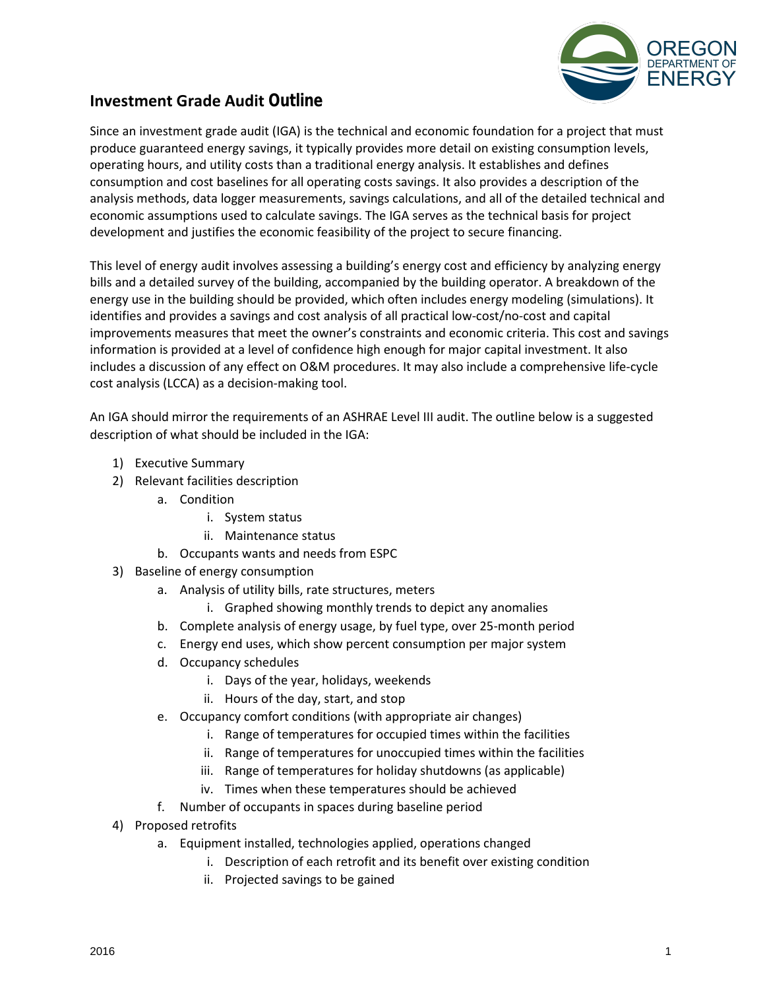

## **Investment Grade Audit Outline**

Since an investment grade audit (IGA) is the technical and economic foundation for a project that must produce guaranteed energy savings, it typically provides more detail on existing consumption levels, operating hours, and utility costs than a traditional energy analysis. It establishes and defines consumption and cost baselines for all operating costs savings. It also provides a description of the analysis methods, data logger measurements, savings calculations, and all of the detailed technical and economic assumptions used to calculate savings. The IGA serves as the technical basis for project development and justifies the economic feasibility of the project to secure financing.

This level of energy audit involves assessing a building's energy cost and efficiency by analyzing energy bills and a detailed survey of the building, accompanied by the building operator. A breakdown of the energy use in the building should be provided, which often includes energy modeling (simulations). It identifies and provides a savings and cost analysis of all practical low-cost/no-cost and capital improvements measures that meet the owner's constraints and economic criteria. This cost and savings information is provided at a level of confidence high enough for major capital investment. It also includes a discussion of any effect on O&M procedures. It may also include a comprehensive life-cycle cost analysis (LCCA) as a decision-making tool.

An IGA should mirror the requirements of an ASHRAE Level III audit. The outline below is a suggested description of what should be included in the IGA:

- 1) Executive Summary
- 2) Relevant facilities description
	- a. Condition
		- i. System status
		- ii. Maintenance status
	- b. Occupants wants and needs from ESPC
- 3) Baseline of energy consumption
	- a. Analysis of utility bills, rate structures, meters
		- i. Graphed showing monthly trends to depict any anomalies
	- b. Complete analysis of energy usage, by fuel type, over 25-month period
	- c. Energy end uses, which show percent consumption per major system
	- d. Occupancy schedules
		- i. Days of the year, holidays, weekends
		- ii. Hours of the day, start, and stop
	- e. Occupancy comfort conditions (with appropriate air changes)
		- i. Range of temperatures for occupied times within the facilities
		- ii. Range of temperatures for unoccupied times within the facilities
		- iii. Range of temperatures for holiday shutdowns (as applicable)
		- iv. Times when these temperatures should be achieved
	- f. Number of occupants in spaces during baseline period
- 4) Proposed retrofits
	- a. Equipment installed, technologies applied, operations changed
		- i. Description of each retrofit and its benefit over existing condition
		- ii. Projected savings to be gained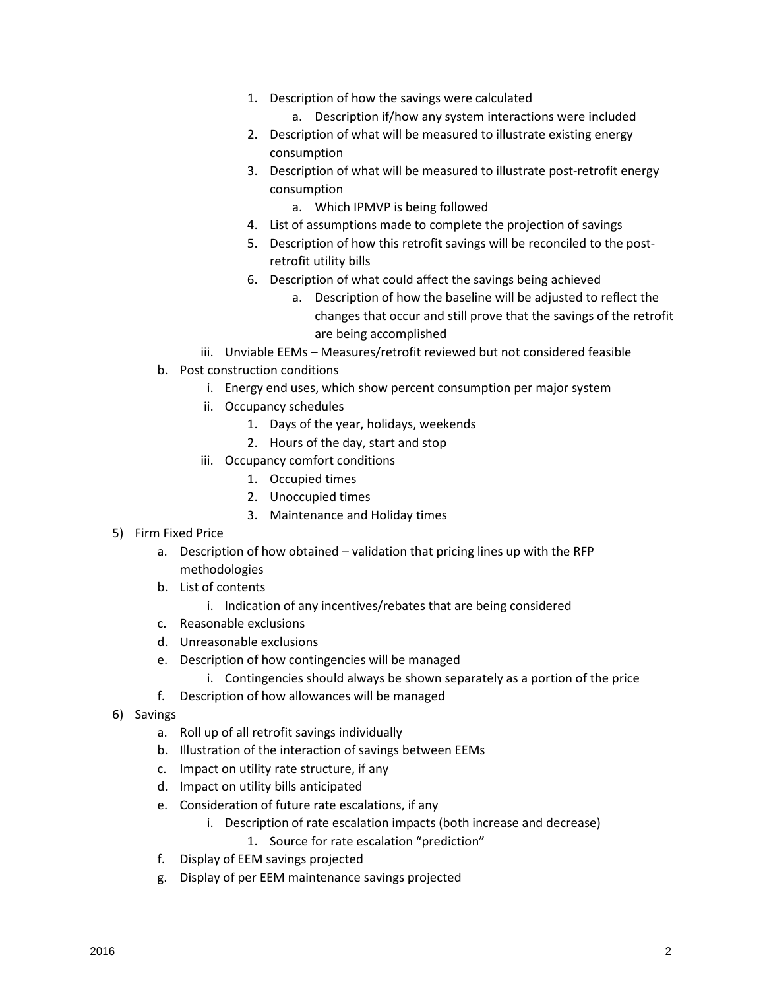- 1. Description of how the savings were calculated
	- a. Description if/how any system interactions were included
- 2. Description of what will be measured to illustrate existing energy consumption
- 3. Description of what will be measured to illustrate post-retrofit energy consumption
	- a. Which IPMVP is being followed
- 4. List of assumptions made to complete the projection of savings
- 5. Description of how this retrofit savings will be reconciled to the postretrofit utility bills
- 6. Description of what could affect the savings being achieved
	- a. Description of how the baseline will be adjusted to reflect the changes that occur and still prove that the savings of the retrofit are being accomplished
- iii. Unviable EEMs Measures/retrofit reviewed but not considered feasible
- b. Post construction conditions
	- i. Energy end uses, which show percent consumption per major system
	- ii. Occupancy schedules
		- 1. Days of the year, holidays, weekends
		- 2. Hours of the day, start and stop
	- iii. Occupancy comfort conditions
		- 1. Occupied times
		- 2. Unoccupied times
		- 3. Maintenance and Holiday times
- 5) Firm Fixed Price
	- a. Description of how obtained validation that pricing lines up with the RFP methodologies
	- b. List of contents
		- i. Indication of any incentives/rebates that are being considered
	- c. Reasonable exclusions
	- d. Unreasonable exclusions
	- e. Description of how contingencies will be managed
		- i. Contingencies should always be shown separately as a portion of the price
	- f. Description of how allowances will be managed
- 6) Savings
	- a. Roll up of all retrofit savings individually
	- b. Illustration of the interaction of savings between EEMs
	- c. Impact on utility rate structure, if any
	- d. Impact on utility bills anticipated
	- e. Consideration of future rate escalations, if any
		- i. Description of rate escalation impacts (both increase and decrease)
			- 1. Source for rate escalation "prediction"
	- f. Display of EEM savings projected
	- g. Display of per EEM maintenance savings projected